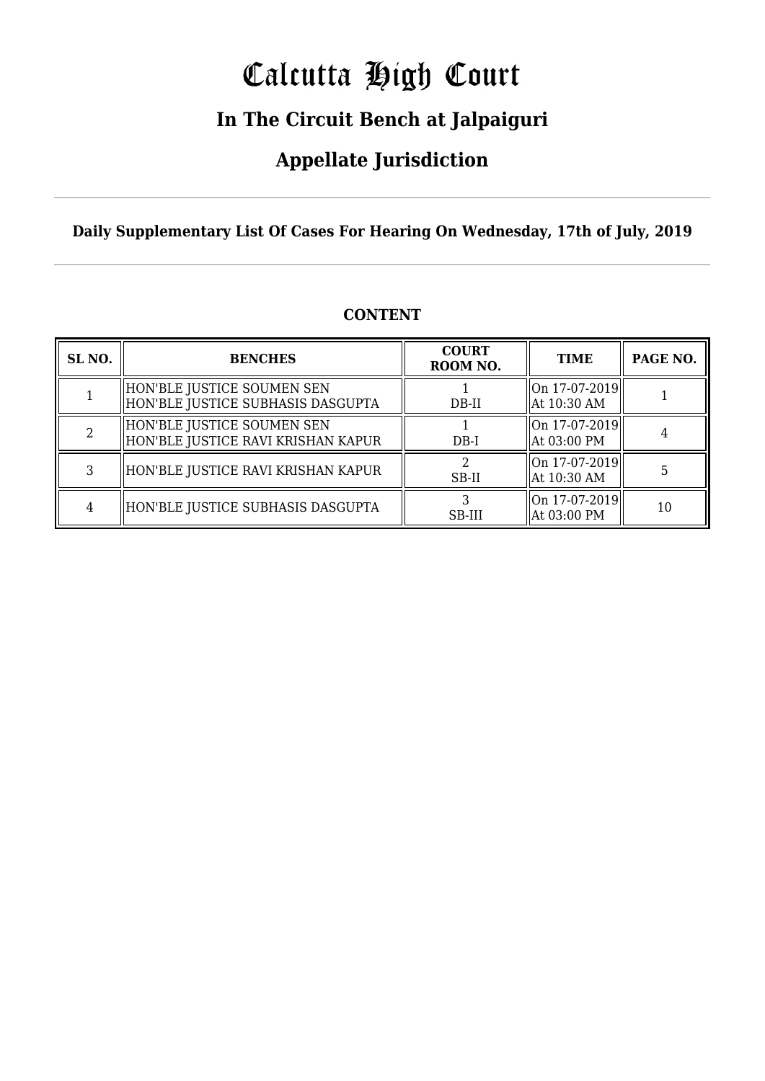# Calcutta High Court

### **In The Circuit Bench at Jalpaiguri**

### **Appellate Jurisdiction**

**Daily Supplementary List Of Cases For Hearing On Wednesday, 17th of July, 2019**

| SL <sub>NO.</sub> | <b>BENCHES</b>                                                     | <b>COURT</b><br>ROOM NO. | <b>TIME</b>                                                  | PAGE NO. |
|-------------------|--------------------------------------------------------------------|--------------------------|--------------------------------------------------------------|----------|
|                   | HON'BLE JUSTICE SOUMEN SEN<br>  HON'BLE JUSTICE SUBHASIS DASGUPTA  | DB-II                    | On 17-07-2019  <br>At 10:30 AM                               |          |
|                   | HON'BLE JUSTICE SOUMEN SEN<br>  HON'BLE JUSTICE RAVI KRISHAN KAPUR | $DB-I$                   | On 17-07-2019  <br>At 03:00 PM                               |          |
|                   | HON'BLE JUSTICE RAVI KRISHAN KAPUR                                 | SB-II                    | On 17-07-2019  <br>At 10:30 AM                               |          |
|                   | HON'BLE JUSTICE SUBHASIS DASGUPTA                                  | SB-III                   | $\left\Vert 0n\right.17-07-2019\right\Vert$<br>  At 03:00 PM | 10       |

#### **CONTENT**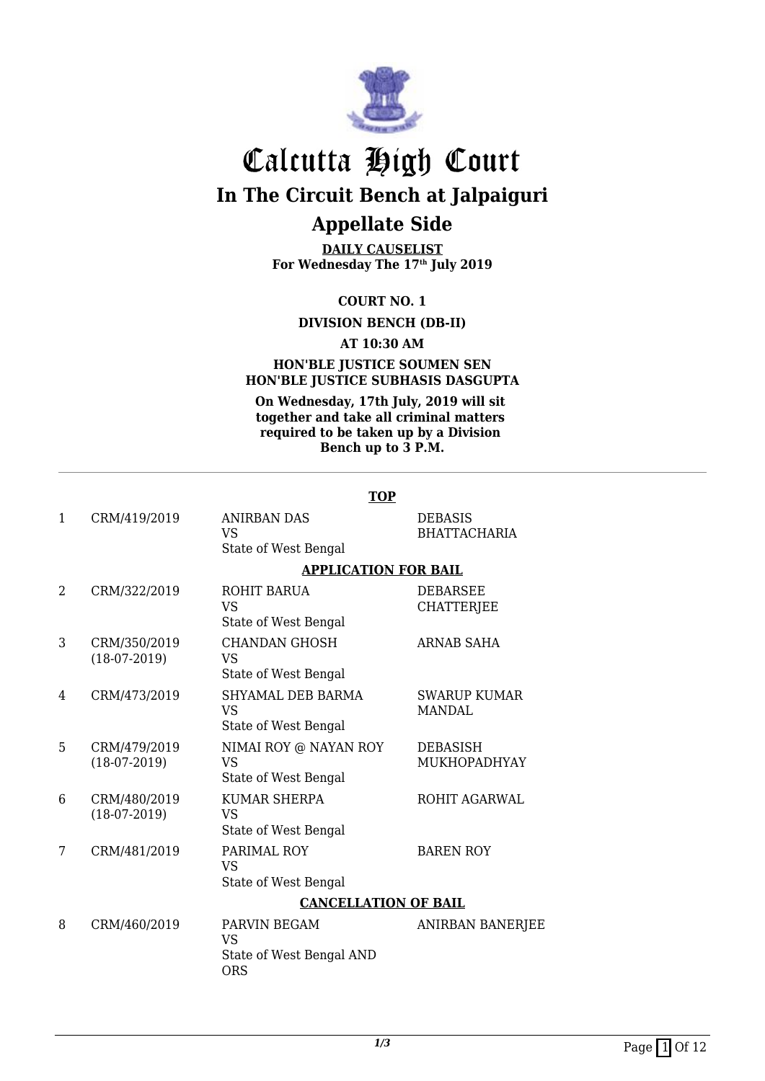

**DAILY CAUSELIST For Wednesday The 17th July 2019**

#### **COURT NO. 1**

#### **DIVISION BENCH (DB-II)**

#### **AT 10:30 AM**

#### **HON'BLE JUSTICE SOUMEN SEN HON'BLE JUSTICE SUBHASIS DASGUPTA**

**On Wednesday, 17th July, 2019 will sit together and take all criminal matters required to be taken up by a Division Bench up to 3 P.M.**

|              |                                | <b>TOP</b>                                                          |                                       |
|--------------|--------------------------------|---------------------------------------------------------------------|---------------------------------------|
| $\mathbf{1}$ | CRM/419/2019                   | <b>ANIRBAN DAS</b><br><b>VS</b><br>State of West Bengal             | <b>DEBASIS</b><br><b>BHATTACHARIA</b> |
|              |                                | <b>APPLICATION FOR BAIL</b>                                         |                                       |
| 2            | CRM/322/2019                   | ROHIT BARUA<br>VS<br>State of West Bengal                           | <b>DEBARSEE</b><br><b>CHATTERJEE</b>  |
| 3            | CRM/350/2019<br>$(18-07-2019)$ | <b>CHANDAN GHOSH</b><br>VS<br>State of West Bengal                  | <b>ARNAB SAHA</b>                     |
| 4            | CRM/473/2019                   | SHYAMAL DEB BARMA<br>VS<br>State of West Bengal                     | <b>SWARUP KUMAR</b><br><b>MANDAL</b>  |
| 5            | CRM/479/2019<br>$(18-07-2019)$ | NIMAI ROY @ NAYAN ROY<br>VS<br>State of West Bengal                 | <b>DEBASISH</b><br>MUKHOPADHYAY       |
| 6            | CRM/480/2019<br>$(18-07-2019)$ | <b>KUMAR SHERPA</b><br>VS<br>State of West Bengal                   | <b>ROHIT AGARWAL</b>                  |
| 7            | CRM/481/2019                   | PARIMAL ROY<br><b>VS</b><br>State of West Bengal                    | <b>BAREN ROY</b>                      |
|              |                                | <b>CANCELLATION OF BAIL</b>                                         |                                       |
| 8            | CRM/460/2019                   | PARVIN BEGAM<br><b>VS</b><br>State of West Bengal AND<br><b>ORS</b> | ANIRBAN BANERJEE                      |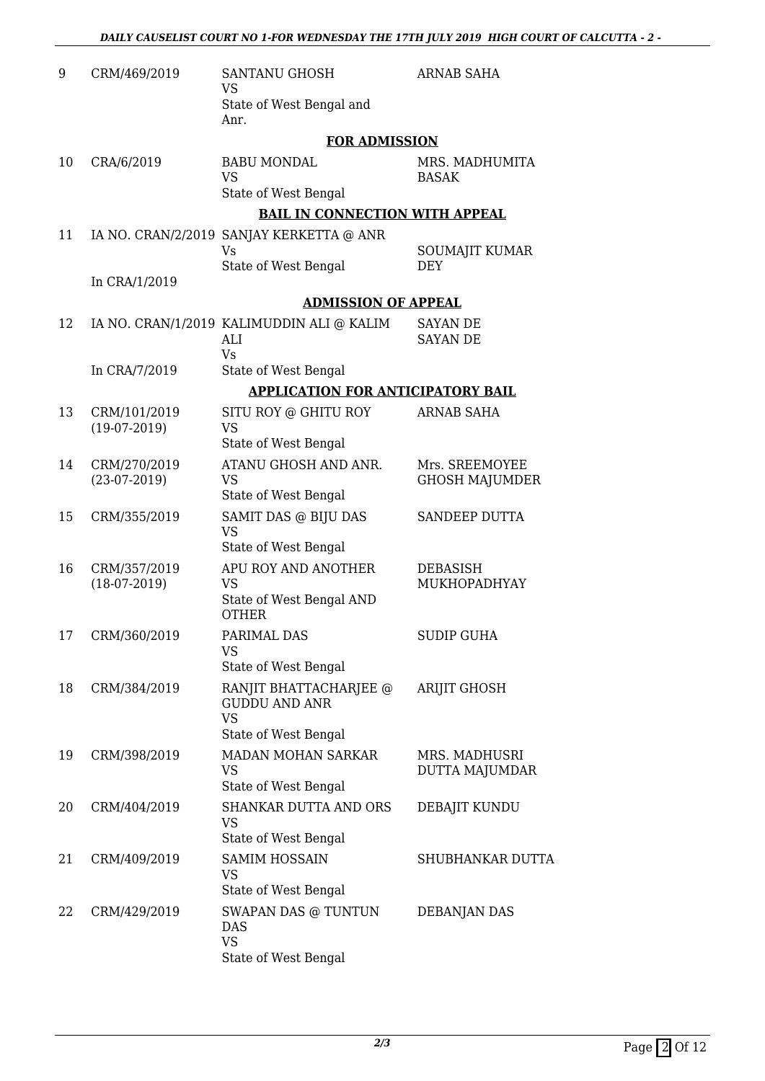| 9  | CRM/469/2019                   | <b>SANTANU GHOSH</b><br><b>VS</b><br>State of West Bengal and<br>Anr.               | <b>ARNAB SAHA</b>                       |  |  |
|----|--------------------------------|-------------------------------------------------------------------------------------|-----------------------------------------|--|--|
|    |                                | <b>FOR ADMISSION</b>                                                                |                                         |  |  |
| 10 | CRA/6/2019                     | <b>BABU MONDAL</b><br><b>VS</b><br>State of West Bengal                             | MRS. MADHUMITA<br><b>BASAK</b>          |  |  |
|    |                                | <b>BAIL IN CONNECTION WITH APPEAL</b>                                               |                                         |  |  |
| 11 |                                | IA NO. CRAN/2/2019 SANJAY KERKETTA @ ANR<br>Vs                                      | SOUMAJIT KUMAR                          |  |  |
|    | In CRA/1/2019                  | State of West Bengal                                                                | DEY                                     |  |  |
|    |                                | <b>ADMISSION OF APPEAL</b>                                                          |                                         |  |  |
| 12 |                                | IA NO. CRAN/1/2019 KALIMUDDIN ALI @ KALIM<br>ALI<br><b>Vs</b>                       | <b>SAYAN DE</b><br><b>SAYAN DE</b>      |  |  |
|    | In CRA/7/2019                  | State of West Bengal                                                                |                                         |  |  |
|    |                                | <b>APPLICATION FOR ANTICIPATORY BAIL</b>                                            |                                         |  |  |
| 13 | CRM/101/2019<br>$(19-07-2019)$ | SITU ROY @ GHITU ROY<br><b>VS</b><br>State of West Bengal                           | <b>ARNAB SAHA</b>                       |  |  |
| 14 | CRM/270/2019<br>$(23-07-2019)$ | ATANU GHOSH AND ANR.<br><b>VS</b><br>State of West Bengal                           | Mrs. SREEMOYEE<br><b>GHOSH MAJUMDER</b> |  |  |
| 15 | CRM/355/2019                   | SAMIT DAS @ BIJU DAS<br><b>VS</b><br>State of West Bengal                           | SANDEEP DUTTA                           |  |  |
| 16 | CRM/357/2019<br>$(18-07-2019)$ | APU ROY AND ANOTHER<br><b>VS</b><br>State of West Bengal AND<br><b>OTHER</b>        | <b>DEBASISH</b><br>MUKHOPADHYAY         |  |  |
| 17 | CRM/360/2019                   | PARIMAL DAS<br><b>VS</b><br>State of West Bengal                                    | <b>SUDIP GUHA</b>                       |  |  |
| 18 | CRM/384/2019                   | RANJIT BHATTACHARJEE @<br><b>GUDDU AND ANR</b><br><b>VS</b><br>State of West Bengal | <b>ARIJIT GHOSH</b>                     |  |  |
| 19 | CRM/398/2019                   | MADAN MOHAN SARKAR<br><b>VS</b><br>State of West Bengal                             | MRS. MADHUSRI<br><b>DUTTA MAJUMDAR</b>  |  |  |
| 20 | CRM/404/2019                   | <b>SHANKAR DUTTA AND ORS</b><br><b>VS</b><br>State of West Bengal                   | DEBAJIT KUNDU                           |  |  |
| 21 | CRM/409/2019                   | <b>SAMIM HOSSAIN</b><br><b>VS</b><br>State of West Bengal                           | SHUBHANKAR DUTTA                        |  |  |
| 22 | CRM/429/2019                   | SWAPAN DAS @ TUNTUN<br>DAS<br><b>VS</b><br>State of West Bengal                     | DEBANJAN DAS                            |  |  |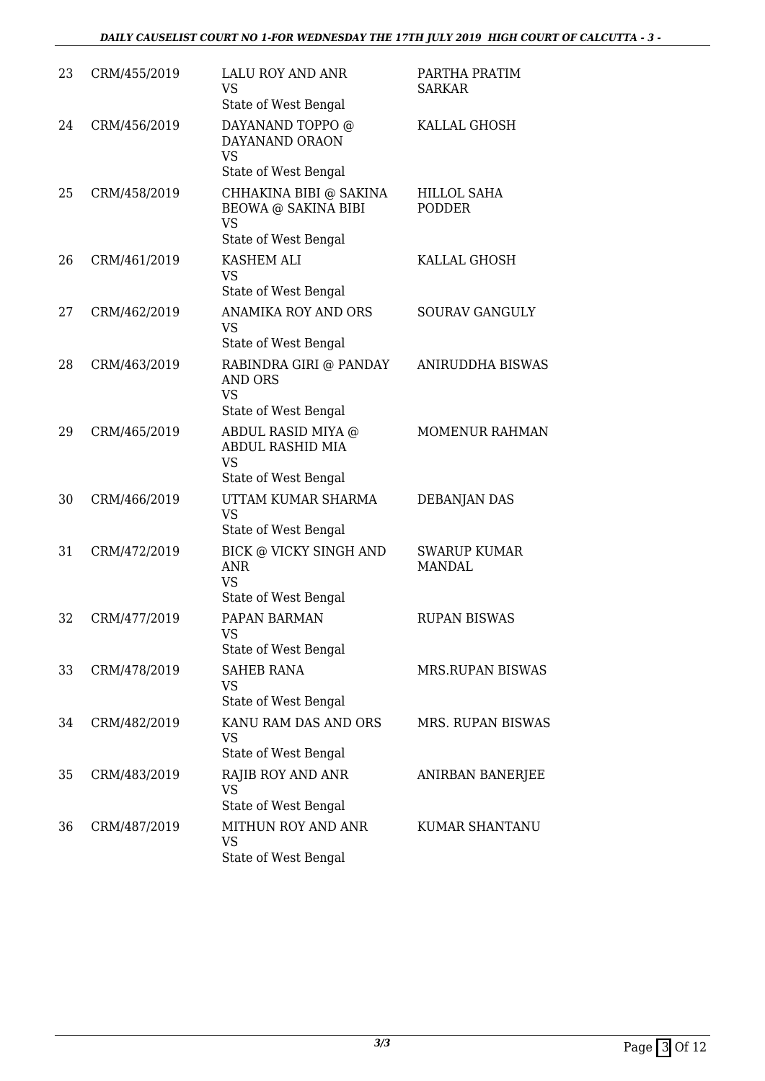| 23 | CRM/455/2019 | <b>LALU ROY AND ANR</b><br><b>VS</b><br>State of West Bengal      | PARTHA PRATIM<br><b>SARKAR</b>       |
|----|--------------|-------------------------------------------------------------------|--------------------------------------|
| 24 | CRM/456/2019 | DAYANAND TOPPO @<br>DAYANAND ORAON<br><b>VS</b>                   | KALLAL GHOSH                         |
|    |              | State of West Bengal                                              |                                      |
| 25 | CRM/458/2019 | CHHAKINA BIBI @ SAKINA<br><b>BEOWA @ SAKINA BIBI</b><br><b>VS</b> | <b>HILLOL SAHA</b><br><b>PODDER</b>  |
|    |              | State of West Bengal                                              |                                      |
| 26 | CRM/461/2019 | KASHEM ALI<br><b>VS</b>                                           | KALLAL GHOSH                         |
|    |              | State of West Bengal                                              |                                      |
| 27 | CRM/462/2019 | ANAMIKA ROY AND ORS<br><b>VS</b>                                  | <b>SOURAV GANGULY</b>                |
|    |              | State of West Bengal                                              |                                      |
| 28 | CRM/463/2019 | RABINDRA GIRI @ PANDAY<br><b>AND ORS</b><br><b>VS</b>             | <b>ANIRUDDHA BISWAS</b>              |
|    |              | State of West Bengal                                              |                                      |
| 29 | CRM/465/2019 | ABDUL RASID MIYA @<br><b>ABDUL RASHID MIA</b><br><b>VS</b>        | <b>MOMENUR RAHMAN</b>                |
|    |              | State of West Bengal                                              |                                      |
| 30 | CRM/466/2019 | UTTAM KUMAR SHARMA<br><b>VS</b><br>State of West Bengal           | <b>DEBANJAN DAS</b>                  |
| 31 | CRM/472/2019 | <b>BICK @ VICKY SINGH AND</b><br><b>ANR</b><br><b>VS</b>          | <b>SWARUP KUMAR</b><br><b>MANDAL</b> |
|    |              | State of West Bengal                                              |                                      |
| 32 | CRM/477/2019 | PAPAN BARMAN<br>VS  <br>State of West Bengal                      | <b>RUPAN BISWAS</b>                  |
| 33 | CRM/478/2019 | <b>SAHEB RANA</b><br><b>VS</b>                                    | MRS.RUPAN BISWAS                     |
|    |              | State of West Bengal                                              |                                      |
| 34 | CRM/482/2019 | KANU RAM DAS AND ORS<br>VS<br>State of West Bengal                | MRS. RUPAN BISWAS                    |
| 35 | CRM/483/2019 | RAJIB ROY AND ANR                                                 | ANIRBAN BANERJEE                     |
|    |              | <b>VS</b><br>State of West Bengal                                 |                                      |
| 36 | CRM/487/2019 | MITHUN ROY AND ANR<br><b>VS</b><br>State of West Bengal           | KUMAR SHANTANU                       |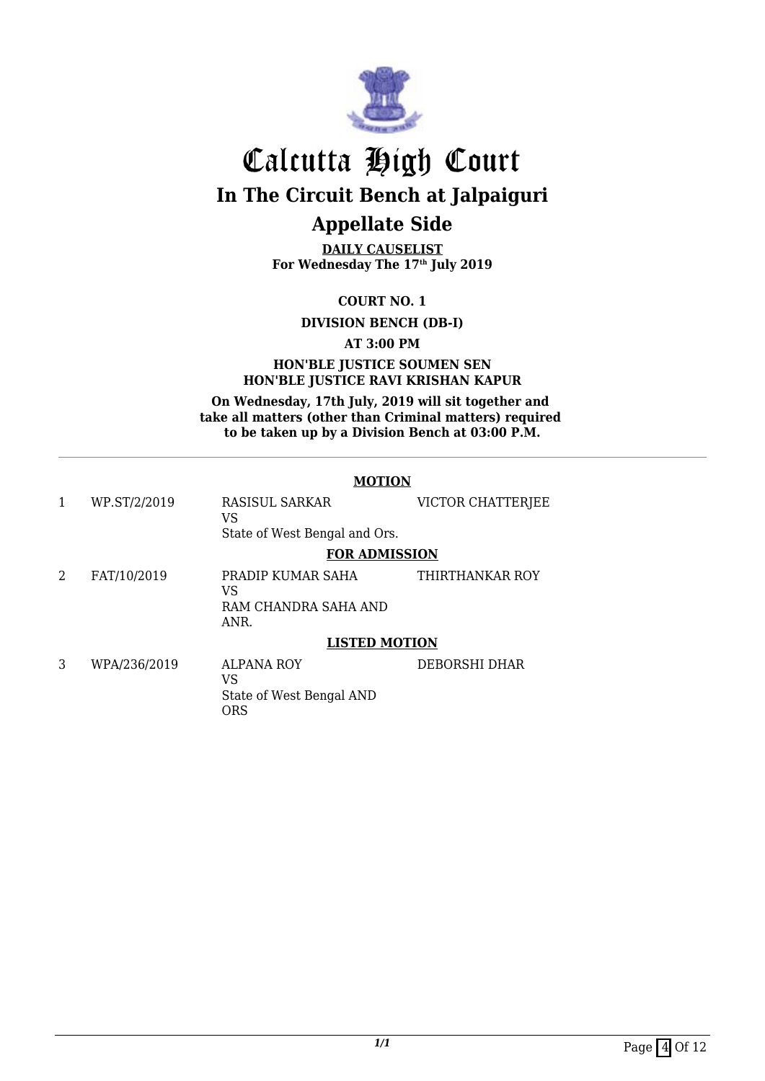

**DAILY CAUSELIST For Wednesday The 17th July 2019**

**COURT NO. 1**

**DIVISION BENCH (DB-I)**

**AT 3:00 PM**

#### **HON'BLE JUSTICE SOUMEN SEN HON'BLE JUSTICE RAVI KRISHAN KAPUR**

**On Wednesday, 17th July, 2019 will sit together and take all matters (other than Criminal matters) required to be taken up by a Division Bench at 03:00 P.M.**

#### **MOTION**

| 1 | WP.ST/2/2019 | RASISUL SARKAR<br>VS<br>State of West Bengal and Ors.      | VICTOR CHATTERJEE |
|---|--------------|------------------------------------------------------------|-------------------|
|   |              | <b>FOR ADMISSION</b>                                       |                   |
| 2 | FAT/10/2019  | PRADIP KUMAR SAHA<br>VS<br>RAM CHANDRA SAHA AND<br>ANR.    | THIRTHANKAR ROY   |
|   |              | <b>LISTED MOTION</b>                                       |                   |
| 3 | WPA/236/2019 | <b>ALPANA ROY</b><br>VS<br>State of West Bengal AND<br>ORS | DEBORSHI DHAR     |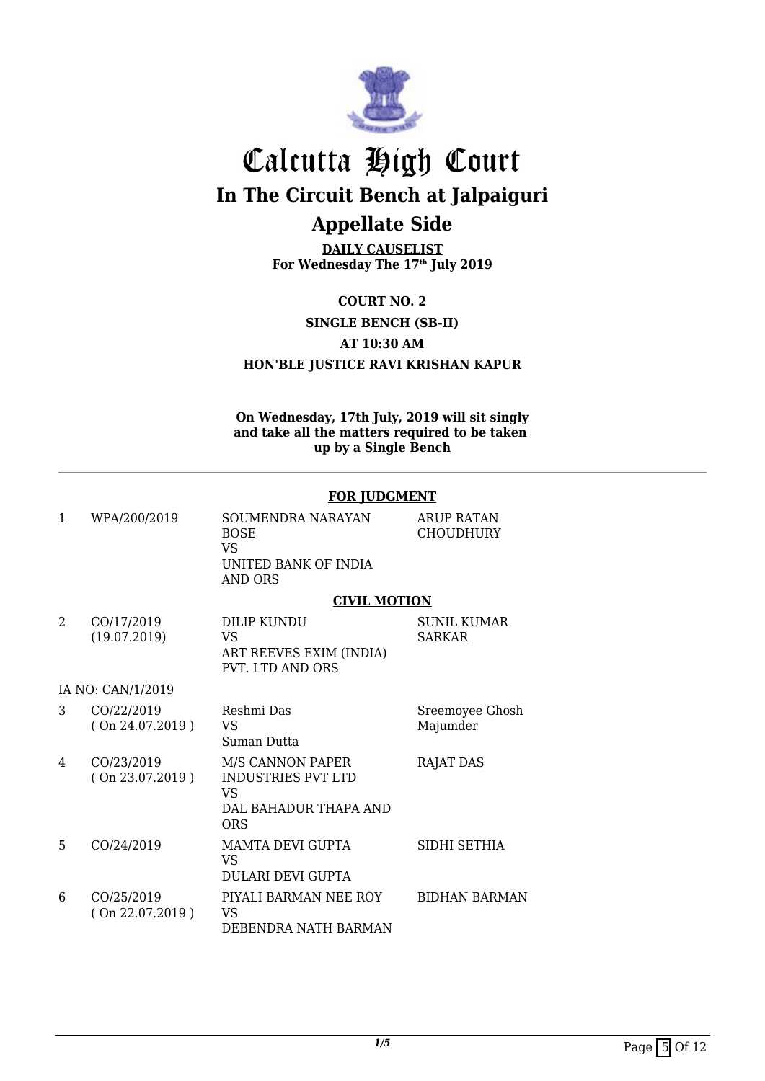

**DAILY CAUSELIST For Wednesday The 17th July 2019**

**COURT NO. 2 SINGLE BENCH (SB-II) AT 10:30 AM HON'BLE JUSTICE RAVI KRISHAN KAPUR**

**On Wednesday, 17th July, 2019 will sit singly and take all the matters required to be taken up by a Single Bench**

|   |                               | <u>, on jodorimal</u>                                                                             |                                       |
|---|-------------------------------|---------------------------------------------------------------------------------------------------|---------------------------------------|
| 1 | WPA/200/2019                  | SOUMENDRA NARAYAN<br><b>BOSE</b><br>VS.<br>UNITED BANK OF INDIA<br><b>AND ORS</b>                 | <b>ARUP RATAN</b><br><b>CHOUDHURY</b> |
|   |                               | <b>CIVIL MOTION</b>                                                                               |                                       |
| 2 | CO/17/2019<br>(19.07.2019)    | DILIP KUNDU<br><b>VS</b><br>ART REEVES EXIM (INDIA)<br><b>PVT. LTD AND ORS</b>                    | <b>SUNIL KUMAR</b><br><b>SARKAR</b>   |
|   | IA NO: CAN/1/2019             |                                                                                                   |                                       |
| 3 | CO/22/2019<br>(On 24.07.2019) | Reshmi Das<br><b>VS</b><br>Suman Dutta                                                            | Sreemoyee Ghosh<br>Majumder           |
| 4 | CO/23/2019<br>(On 23.07.2019) | M/S CANNON PAPER<br><b>INDUSTRIES PVT LTD</b><br><b>VS</b><br>DAL BAHADUR THAPA AND<br><b>ORS</b> | <b>RAJAT DAS</b>                      |
| 5 | CO/24/2019                    | MAMTA DEVI GUPTA<br>VS<br>DULARI DEVI GUPTA                                                       | SIDHI SETHIA                          |
| 6 | CO/25/2019<br>(On 22.07.2019) | PIYALI BARMAN NEE ROY<br><b>VS</b><br>DEBENDRA NATH BARMAN                                        | <b>BIDHAN BARMAN</b>                  |

#### **FOR JUDGMENT**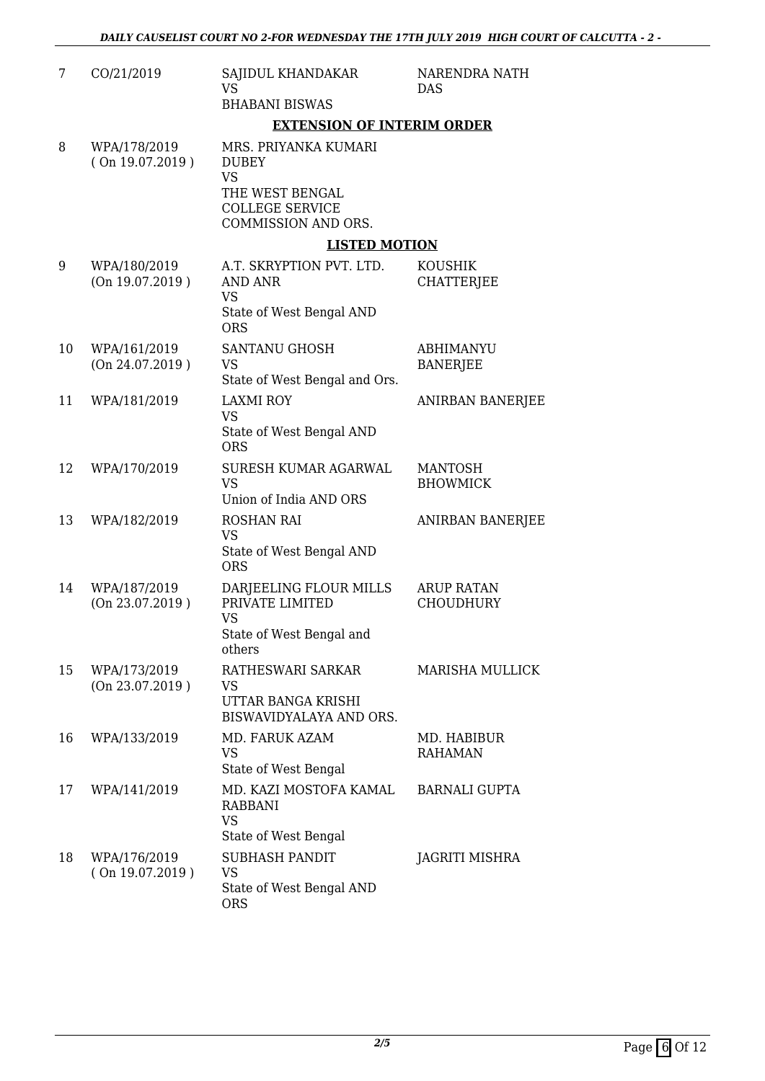| 7  | CO/21/2019                      | SAJIDUL KHANDAKAR<br>VS.<br><b>BHABANI BISWAS</b>                                                                     | NARENDRA NATH<br><b>DAS</b>           |  |
|----|---------------------------------|-----------------------------------------------------------------------------------------------------------------------|---------------------------------------|--|
|    |                                 | <b>EXTENSION OF INTERIM ORDER</b>                                                                                     |                                       |  |
| 8  | WPA/178/2019<br>(On 19.07.2019) | MRS. PRIYANKA KUMARI<br><b>DUBEY</b><br><b>VS</b><br>THE WEST BENGAL<br><b>COLLEGE SERVICE</b><br>COMMISSION AND ORS. |                                       |  |
|    |                                 | <b>LISTED MOTION</b>                                                                                                  |                                       |  |
| 9  | WPA/180/2019<br>(On 19.07.2019) | A.T. SKRYPTION PVT. LTD.<br><b>AND ANR</b><br><b>VS</b><br>State of West Bengal AND<br><b>ORS</b>                     | KOUSHIK<br><b>CHATTERJEE</b>          |  |
| 10 | WPA/161/2019<br>(On 24.07.2019) | SANTANU GHOSH<br><b>VS</b><br>State of West Bengal and Ors.                                                           | <b>ABHIMANYU</b><br><b>BANERJEE</b>   |  |
| 11 | WPA/181/2019                    | <b>LAXMI ROY</b><br><b>VS</b><br>State of West Bengal AND<br><b>ORS</b>                                               | ANIRBAN BANERJEE                      |  |
| 12 | WPA/170/2019                    | SURESH KUMAR AGARWAL<br><b>VS</b><br>Union of India AND ORS                                                           | <b>MANTOSH</b><br><b>BHOWMICK</b>     |  |
| 13 | WPA/182/2019                    | <b>ROSHAN RAI</b><br><b>VS</b><br>State of West Bengal AND<br><b>ORS</b>                                              | ANIRBAN BANERJEE                      |  |
| 14 | WPA/187/2019<br>(On 23.07.2019) | DARJEELING FLOUR MILLS<br>PRIVATE LIMITED<br><b>VS</b><br>State of West Bengal and<br>others                          | <b>ARUP RATAN</b><br><b>CHOUDHURY</b> |  |
| 15 | WPA/173/2019<br>(On 23.07.2019) | RATHESWARI SARKAR<br>VS<br>UTTAR BANGA KRISHI<br>BISWAVIDYALAYA AND ORS.                                              | <b>MARISHA MULLICK</b>                |  |
| 16 | WPA/133/2019                    | MD. FARUK AZAM<br><b>VS</b><br>State of West Bengal                                                                   | MD. HABIBUR<br><b>RAHAMAN</b>         |  |
| 17 | WPA/141/2019                    | MD. KAZI MOSTOFA KAMAL<br><b>RABBANI</b><br><b>VS</b><br>State of West Bengal                                         | <b>BARNALI GUPTA</b>                  |  |
| 18 | WPA/176/2019<br>(On 19.07.2019) | <b>SUBHASH PANDIT</b><br><b>VS</b><br>State of West Bengal AND<br><b>ORS</b>                                          | JAGRITI MISHRA                        |  |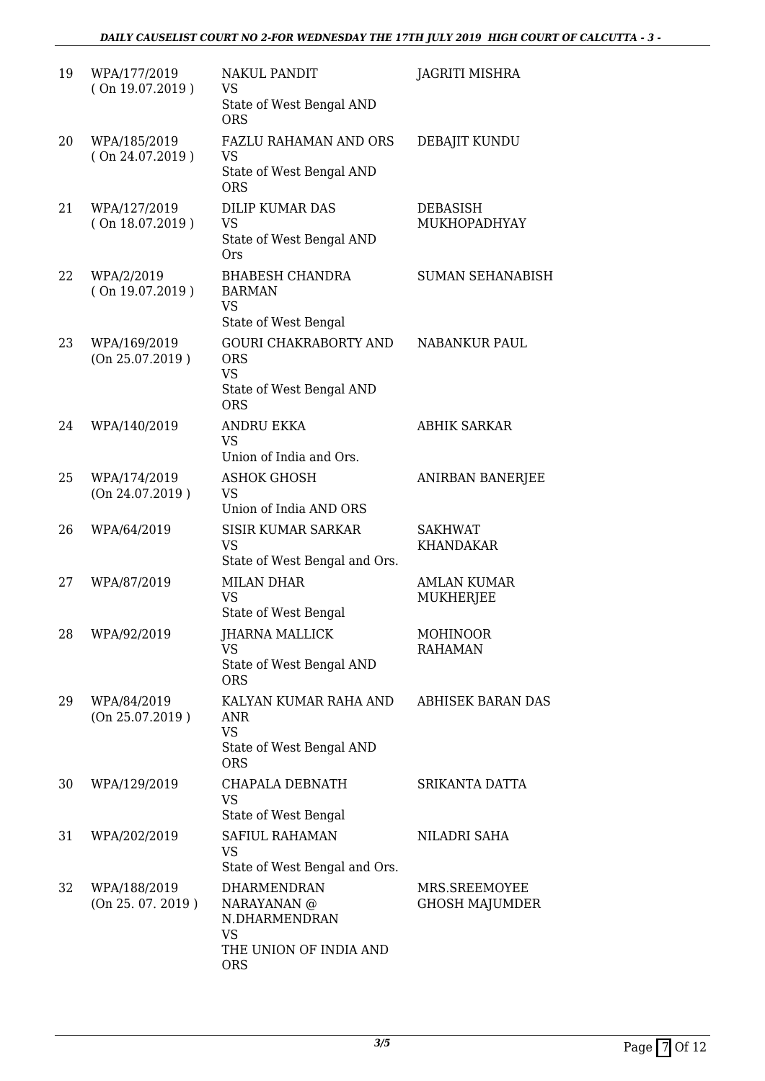#### *DAILY CAUSELIST COURT NO 2-FOR WEDNESDAY THE 17TH JULY 2019 HIGH COURT OF CALCUTTA - 3 -*

| 19 | WPA/177/2019<br>(On 19.07.2019)   | <b>NAKUL PANDIT</b><br><b>VS</b><br>State of West Bengal AND<br><b>ORS</b>                        | JAGRITI MISHRA                         |
|----|-----------------------------------|---------------------------------------------------------------------------------------------------|----------------------------------------|
| 20 | WPA/185/2019<br>(On 24.07.2019)   | FAZLU RAHAMAN AND ORS<br><b>VS</b><br>State of West Bengal AND<br><b>ORS</b>                      | DEBAJIT KUNDU                          |
| 21 | WPA/127/2019<br>(On 18.07.2019)   | <b>DILIP KUMAR DAS</b><br><b>VS</b><br>State of West Bengal AND<br><b>Ors</b>                     | DEBASISH<br>MUKHOPADHYAY               |
| 22 | WPA/2/2019<br>(On 19.07.2019)     | <b>BHABESH CHANDRA</b><br><b>BARMAN</b><br><b>VS</b><br>State of West Bengal                      | <b>SUMAN SEHANABISH</b>                |
| 23 | WPA/169/2019<br>(On 25.07.2019)   | <b>GOURI CHAKRABORTY AND</b><br><b>ORS</b><br><b>VS</b><br>State of West Bengal AND<br><b>ORS</b> | NABANKUR PAUL                          |
| 24 | WPA/140/2019                      | ANDRU EKKA<br><b>VS</b><br>Union of India and Ors.                                                | <b>ABHIK SARKAR</b>                    |
| 25 | WPA/174/2019<br>(On 24.07.2019)   | <b>ASHOK GHOSH</b><br><b>VS</b><br>Union of India AND ORS                                         | <b>ANIRBAN BANERJEE</b>                |
| 26 | WPA/64/2019                       | <b>SISIR KUMAR SARKAR</b><br><b>VS</b><br>State of West Bengal and Ors.                           | <b>SAKHWAT</b><br><b>KHANDAKAR</b>     |
| 27 | WPA/87/2019                       | <b>MILAN DHAR</b><br><b>VS</b><br>State of West Bengal                                            | <b>AMLAN KUMAR</b><br><b>MUKHERJEE</b> |
| 28 | WPA/92/2019                       | <b>JHARNA MALLICK</b><br><b>VS</b><br>State of West Bengal AND<br><b>ORS</b>                      | MOHINOOR<br><b>RAHAMAN</b>             |
| 29 | WPA/84/2019<br>(On 25.07.2019)    | KALYAN KUMAR RAHA AND<br>ANR<br><b>VS</b><br>State of West Bengal AND<br><b>ORS</b>               | <b>ABHISEK BARAN DAS</b>               |
| 30 | WPA/129/2019                      | CHAPALA DEBNATH<br><b>VS</b><br>State of West Bengal                                              | SRIKANTA DATTA                         |
| 31 | WPA/202/2019                      | SAFIUL RAHAMAN<br>VS<br>State of West Bengal and Ors.                                             | NILADRI SAHA                           |
| 32 | WPA/188/2019<br>(On 25. 07. 2019) | DHARMENDRAN<br>NARAYANAN @<br>N.DHARMENDRAN<br><b>VS</b><br>THE UNION OF INDIA AND<br><b>ORS</b>  | MRS.SREEMOYEE<br><b>GHOSH MAJUMDER</b> |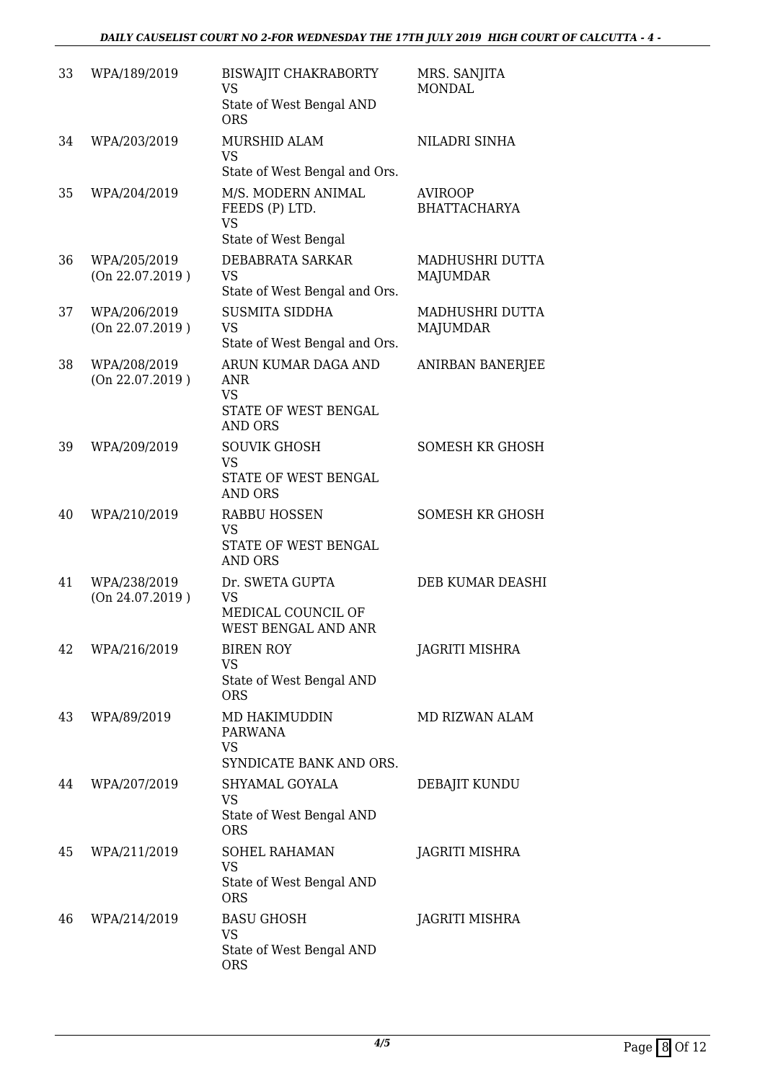| 33 | WPA/189/2019                    | <b>BISWAJIT CHAKRABORTY</b><br><b>VS</b><br>State of West Bengal AND<br><b>ORS</b> | MRS. SANJITA<br><b>MONDAL</b>         |
|----|---------------------------------|------------------------------------------------------------------------------------|---------------------------------------|
| 34 | WPA/203/2019                    | MURSHID ALAM<br><b>VS</b><br>State of West Bengal and Ors.                         | NILADRI SINHA                         |
| 35 | WPA/204/2019                    | M/S. MODERN ANIMAL<br>FEEDS (P) LTD.<br><b>VS</b><br>State of West Bengal          | <b>AVIROOP</b><br><b>BHATTACHARYA</b> |
| 36 | WPA/205/2019<br>(On 22.07.2019) | DEBABRATA SARKAR<br><b>VS</b><br>State of West Bengal and Ors.                     | MADHUSHRI DUTTA<br>MAJUMDAR           |
| 37 | WPA/206/2019<br>(On 22.07.2019) | <b>SUSMITA SIDDHA</b><br><b>VS</b><br>State of West Bengal and Ors.                | MADHUSHRI DUTTA<br><b>MAJUMDAR</b>    |
| 38 | WPA/208/2019<br>(On 22.07.2019) | ARUN KUMAR DAGA AND<br>ANR<br><b>VS</b><br>STATE OF WEST BENGAL<br><b>AND ORS</b>  | ANIRBAN BANERJEE                      |
| 39 | WPA/209/2019                    | <b>SOUVIK GHOSH</b><br><b>VS</b><br>STATE OF WEST BENGAL<br><b>AND ORS</b>         | <b>SOMESH KR GHOSH</b>                |
| 40 | WPA/210/2019                    | <b>RABBU HOSSEN</b><br><b>VS</b><br>STATE OF WEST BENGAL<br>AND ORS                | <b>SOMESH KR GHOSH</b>                |
| 41 | WPA/238/2019<br>(On 24.07.2019) | Dr. SWETA GUPTA<br><b>VS</b><br>MEDICAL COUNCIL OF<br>WEST BENGAL AND ANR          | DEB KUMAR DEASHI                      |
| 42 | WPA/216/2019                    | <b>BIREN ROY</b><br>VS<br>State of West Bengal AND<br><b>ORS</b>                   | JAGRITI MISHRA                        |
| 43 | WPA/89/2019                     | MD HAKIMUDDIN<br>PARWANA<br><b>VS</b><br>SYNDICATE BANK AND ORS.                   | MD RIZWAN ALAM                        |
| 44 | WPA/207/2019                    | SHYAMAL GOYALA<br><b>VS</b><br>State of West Bengal AND<br><b>ORS</b>              | DEBAJIT KUNDU                         |
| 45 | WPA/211/2019                    | <b>SOHEL RAHAMAN</b><br>VS<br>State of West Bengal AND<br><b>ORS</b>               | JAGRITI MISHRA                        |
| 46 | WPA/214/2019                    | <b>BASU GHOSH</b><br><b>VS</b><br>State of West Bengal AND<br><b>ORS</b>           | JAGRITI MISHRA                        |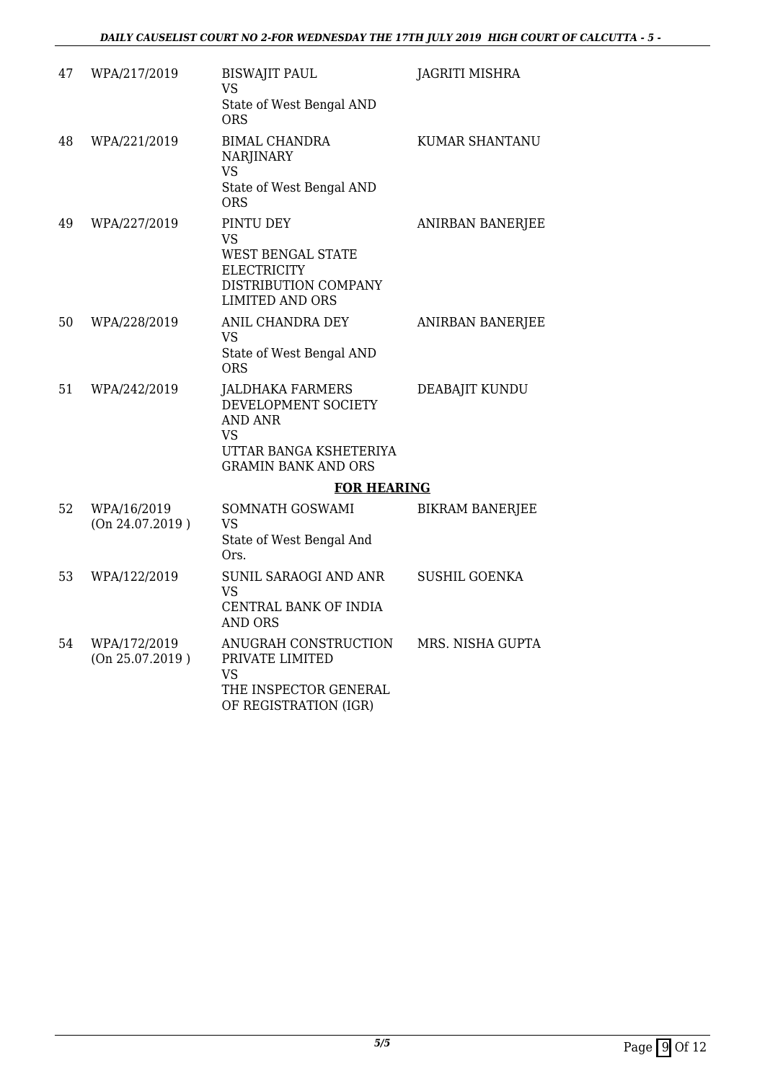| 47 | WPA/217/2019                    | <b>BISWAJIT PAUL</b><br><b>VS</b>                                                                                              | <b>JAGRITI MISHRA</b>  |
|----|---------------------------------|--------------------------------------------------------------------------------------------------------------------------------|------------------------|
|    |                                 | State of West Bengal AND<br>ORS                                                                                                |                        |
| 48 | WPA/221/2019                    | <b>BIMAL CHANDRA</b><br><b>NARJINARY</b><br><b>VS</b>                                                                          | <b>KUMAR SHANTANU</b>  |
|    |                                 | State of West Bengal AND<br><b>ORS</b>                                                                                         |                        |
| 49 | WPA/227/2019                    | PINTU DEY<br>VS<br><b>WEST BENGAL STATE</b><br><b>ELECTRICITY</b><br>DISTRIBUTION COMPANY<br><b>LIMITED AND ORS</b>            | ANIRBAN BANERJEE       |
| 50 | WPA/228/2019                    | ANIL CHANDRA DEY<br>VS                                                                                                         | ANIRBAN BANERJEE       |
|    |                                 | State of West Bengal AND<br><b>ORS</b>                                                                                         |                        |
| 51 | WPA/242/2019                    | <b>JALDHAKA FARMERS</b><br>DEVELOPMENT SOCIETY<br><b>AND ANR</b><br>VS<br>UTTAR BANGA KSHETERIYA<br><b>GRAMIN BANK AND ORS</b> | DEABAJIT KUNDU         |
|    |                                 | <b>FOR HEARING</b>                                                                                                             |                        |
| 52 | WPA/16/2019<br>(On 24.07.2019)  | SOMNATH GOSWAMI<br>VS<br>State of West Bengal And<br>Ors.                                                                      | <b>BIKRAM BANERJEE</b> |
| 53 | WPA/122/2019                    | SUNIL SARAOGI AND ANR<br>VS<br>CENTRAL BANK OF INDIA<br><b>AND ORS</b>                                                         | <b>SUSHIL GOENKA</b>   |
| 54 | WPA/172/2019<br>(On 25.07.2019) | ANUGRAH CONSTRUCTION<br>PRIVATE LIMITED<br>VS<br>THE INSPECTOR GENERAL<br>OF REGISTRATION (IGR)                                | MRS. NISHA GUPTA       |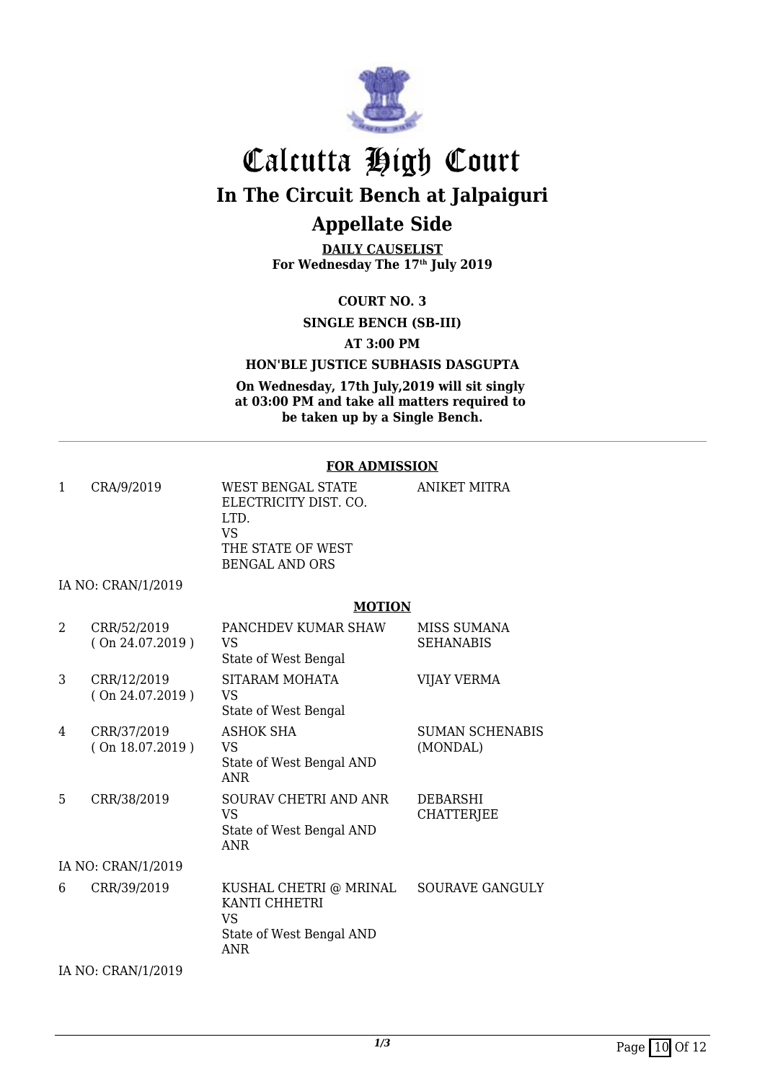

**DAILY CAUSELIST For Wednesday The 17th July 2019**

**COURT NO. 3**

**SINGLE BENCH (SB-III)**

**AT 3:00 PM**

#### **HON'BLE JUSTICE SUBHASIS DASGUPTA**

**On Wednesday, 17th July,2019 will sit singly at 03:00 PM and take all matters required to be taken up by a Single Bench.**

#### **FOR ADMISSION**

| 1 | CRA/9/2019                        | WEST BENGAL STATE<br>ELECTRICITY DIST. CO.<br>LTD.<br>VS<br>THE STATE OF WEST<br>BENGAL AND ORS | <b>ANIKET MITRA</b>             |
|---|-----------------------------------|-------------------------------------------------------------------------------------------------|---------------------------------|
|   | IA NO: CRAN/1/2019                |                                                                                                 |                                 |
|   |                                   | <b>MOTION</b>                                                                                   |                                 |
| 2 | CRR/52/2019<br>$($ On 24.07.2019) | PANCHDEV KUMAR SHAW<br>VS<br>State of West Bengal                                               | MISS SUMANA<br><b>SEHANABIS</b> |
| 3 | CRR/12/2019                       | SITARAM MOHATA                                                                                  | VIIAY VERMA                     |

|    | (On 24.07.2019)                | VS<br>State of West Bengal                                                       |                                      |
|----|--------------------------------|----------------------------------------------------------------------------------|--------------------------------------|
| 4  | CRR/37/2019<br>(On 18.07.2019) | ASHOK SHA<br>VS<br>State of West Bengal AND<br>ANR                               | <b>SUMAN SCHENABIS</b><br>(MONDAL)   |
| 5. | CRR/38/2019                    | SOURAV CHETRI AND ANR<br>VS<br>State of West Bengal AND<br><b>ANR</b>            | <b>DEBARSHI</b><br><b>CHATTERJEE</b> |
|    | IA NO: CRAN/1/2019             |                                                                                  |                                      |
| 6  | CRR/39/2019                    | KUSHAL CHETRI @ MRINAL<br>KANTI CHHETRI<br>VS<br>State of West Bengal AND<br>ANR | <b>SOURAVE GANGULY</b>               |

IA NO: CRAN/1/2019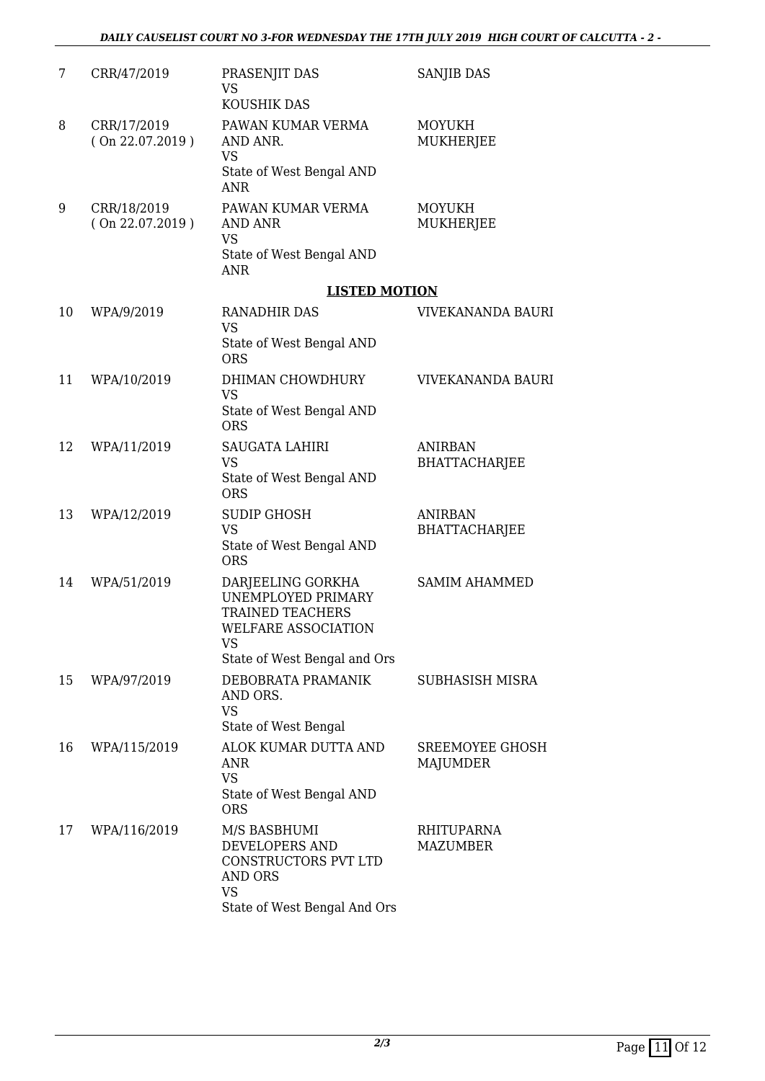#### *DAILY CAUSELIST COURT NO 3-FOR WEDNESDAY THE 17TH JULY 2019 HIGH COURT OF CALCUTTA - 2 -*

| 7  | CRR/47/2019                    | PRASENJIT DAS<br><b>VS</b><br>KOUSHIK DAS                                                                                              | <b>SANJIB DAS</b>                      |
|----|--------------------------------|----------------------------------------------------------------------------------------------------------------------------------------|----------------------------------------|
| 8  | CRR/17/2019<br>(On 22.07.2019) | PAWAN KUMAR VERMA<br>AND ANR.<br><b>VS</b><br>State of West Bengal AND<br><b>ANR</b>                                                   | <b>MOYUKH</b><br><b>MUKHERJEE</b>      |
| 9  | CRR/18/2019<br>(On 22.07.2019) | PAWAN KUMAR VERMA<br><b>AND ANR</b><br><b>VS</b><br>State of West Bengal AND<br><b>ANR</b>                                             | <b>MOYUKH</b><br><b>MUKHERJEE</b>      |
|    |                                | <b>LISTED MOTION</b>                                                                                                                   |                                        |
| 10 | WPA/9/2019                     | <b>RANADHIR DAS</b><br><b>VS</b><br>State of West Bengal AND<br><b>ORS</b>                                                             | VIVEKANANDA BAURI                      |
| 11 | WPA/10/2019                    | DHIMAN CHOWDHURY<br><b>VS</b><br>State of West Bengal AND<br><b>ORS</b>                                                                | <b>VIVEKANANDA BAURI</b>               |
| 12 | WPA/11/2019                    | <b>SAUGATA LAHIRI</b><br><b>VS</b><br>State of West Bengal AND<br><b>ORS</b>                                                           | <b>ANIRBAN</b><br><b>BHATTACHARJEE</b> |
| 13 | WPA/12/2019                    | <b>SUDIP GHOSH</b><br><b>VS</b><br>State of West Bengal AND<br><b>ORS</b>                                                              | <b>ANIRBAN</b><br><b>BHATTACHARJEE</b> |
| 14 | WPA/51/2019                    | DARJEELING GORKHA<br>UNEMPLOYED PRIMARY<br><b>TRAINED TEACHERS</b><br>WELFARE ASSOCIATION<br><b>VS</b><br>State of West Bengal and Ors | <b>SAMIM AHAMMED</b>                   |
| 15 | WPA/97/2019                    | DEBOBRATA PRAMANIK<br>AND ORS.<br><b>VS</b><br>State of West Bengal                                                                    | SUBHASISH MISRA                        |
| 16 | WPA/115/2019                   | ALOK KUMAR DUTTA AND<br>ANR<br><b>VS</b><br>State of West Bengal AND<br><b>ORS</b>                                                     | SREEMOYEE GHOSH<br>MAJUMDER            |
| 17 | WPA/116/2019                   | M/S BASBHUMI<br>DEVELOPERS AND<br>CONSTRUCTORS PVT LTD<br><b>AND ORS</b><br><b>VS</b><br>State of West Bengal And Ors                  | <b>RHITUPARNA</b><br><b>MAZUMBER</b>   |